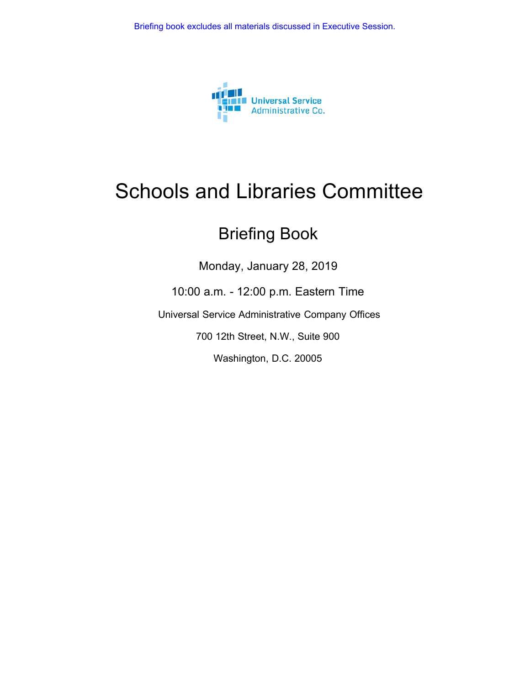

### Schools and Libraries Committee

### Briefing Book

Monday, January 28, 2019

10:00 a.m. - 12:00 p.m. Eastern Time

Universal Service Administrative Company Offices

700 12th Street, N.W., Suite 900

Washington, D.C. 20005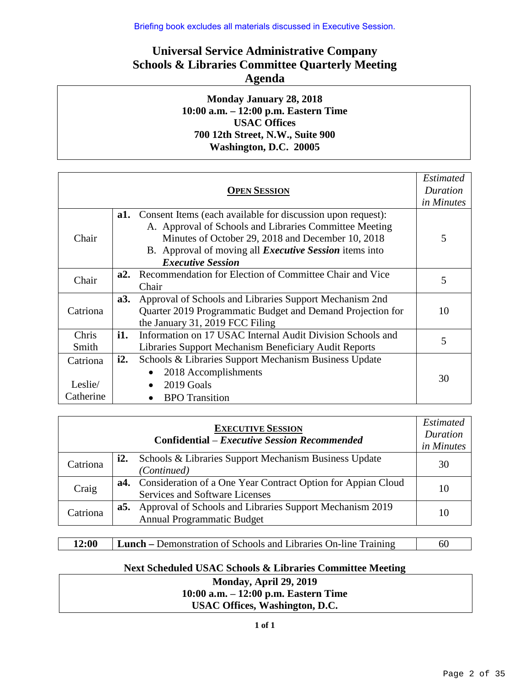Briefing book excludes all materials discussed in Executive Session.

#### **Universal Service Administrative Company Schools & Libraries Committee Quarterly Meeting Agenda**

#### **Monday January 28, 2018 10:00 a.m. – 12:00 p.m. Eastern Time USAC Offices 700 12th Street, N.W., Suite 900 Washington, D.C. 20005**

| <b>OPEN SESSION</b>              |     |                                                                                                                                                                                                                                                                         |    |  |  |
|----------------------------------|-----|-------------------------------------------------------------------------------------------------------------------------------------------------------------------------------------------------------------------------------------------------------------------------|----|--|--|
| Chair                            | a1. | Consent Items (each available for discussion upon request):<br>A. Approval of Schools and Libraries Committee Meeting<br>Minutes of October 29, 2018 and December 10, 2018<br>B. Approval of moving all <i>Executive Session</i> items into<br><b>Executive Session</b> | 5  |  |  |
| Chair                            | a2. | Recommendation for Election of Committee Chair and Vice<br>Chair                                                                                                                                                                                                        | 5  |  |  |
| Catriona                         | a3. | Approval of Schools and Libraries Support Mechanism 2nd<br>Quarter 2019 Programmatic Budget and Demand Projection for<br>the January 31, 2019 FCC Filing                                                                                                                | 10 |  |  |
| Chris<br>Smith                   | i1. | Information on 17 USAC Internal Audit Division Schools and<br>Libraries Support Mechanism Beneficiary Audit Reports                                                                                                                                                     | 5  |  |  |
| Catriona<br>Leslie/<br>Catherine | i2. | Schools & Libraries Support Mechanism Business Update<br>2018 Accomplishments<br>2019 Goals<br><b>BPO</b> Transition                                                                                                                                                    | 30 |  |  |

|          |     | <b>EXECUTIVE SESSION</b><br><b>Confidential</b> – <i>Executive Session Recommended</i>             | <b>Estimated</b><br>Duration<br>in Minutes |
|----------|-----|----------------------------------------------------------------------------------------------------|--------------------------------------------|
| Catriona | i2. | Schools & Libraries Support Mechanism Business Update<br>(Continued)                               | 30                                         |
| Craig    |     | a4. Consideration of a One Year Contract Option for Appian Cloud<br>Services and Software Licenses | 10                                         |
| Catriona | a5. | Approval of Schools and Libraries Support Mechanism 2019<br><b>Annual Programmatic Budget</b>      | 10                                         |

| <b>12:00</b> | <b>Lunch</b> – Demonstration of Schools and Libraries On-line Training | 60 |
|--------------|------------------------------------------------------------------------|----|
|--------------|------------------------------------------------------------------------|----|

#### **Next Scheduled USAC Schools & Libraries Committee Meeting**

**Monday, April 29, 2019 10:00 a.m. ‒ 12:00 p.m. Eastern Time USAC Offices, Washington, D.C.**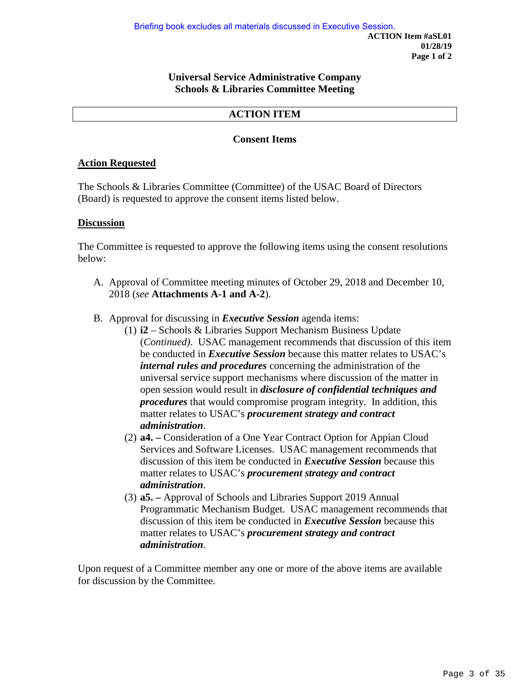#### **Universal Service Administrative Company Schools & Libraries Committee Meeting**

#### **ACTION ITEM**

#### **Consent Items**

#### **Action Requested**

The Schools & Libraries Committee (Committee) of the USAC Board of Directors (Board) is requested to approve the consent items listed below.

#### **Discussion**

The Committee is requested to approve the following items using the consent resolutions below:

- A. Approval of Committee meeting minutes of October 29, 2018 and December 10, 2018 (*see* **Attachments A-1 and A-2**).
- B. Approval for discussing in *Executive Session* agenda items:
	- (1) **i2** Schools & Libraries Support Mechanism Business Update (*Continued)*. USAC management recommends that discussion of this item be conducted in *Executive Session* because this matter relates to USAC's *internal rules and procedures* concerning the administration of the universal service support mechanisms where discussion of the matter in open session would result in *disclosure of confidential techniques and procedures* that would compromise program integrity. In addition, this matter relates to USAC's *procurement strategy and contract administration*.
	- (2) **a4.** Consideration of a One Year Contract Option for Appian Cloud Services and Software Licenses. USAC management recommends that discussion of this item be conducted in *Executive Session* because this matter relates to USAC's *procurement strategy and contract administration*.
	- (3) **a5.** Approval of Schools and Libraries Support 2019 Annual Programmatic Mechanism Budget. USAC management recommends that discussion of this item be conducted in *Executive Session* because this matter relates to USAC's *procurement strategy and contract administration*.

Upon request of a Committee member any one or more of the above items are available for discussion by the Committee.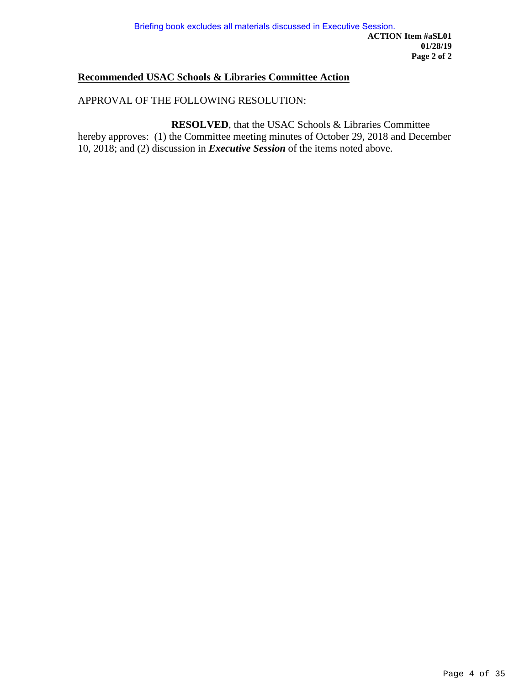#### **Recommended USAC Schools & Libraries Committee Action**

#### APPROVAL OF THE FOLLOWING RESOLUTION:

**RESOLVED**, that the USAC Schools & Libraries Committee hereby approves: (1) the Committee meeting minutes of October 29, 2018 and December 10, 2018; and (2) discussion in *Executive Session* of the items noted above.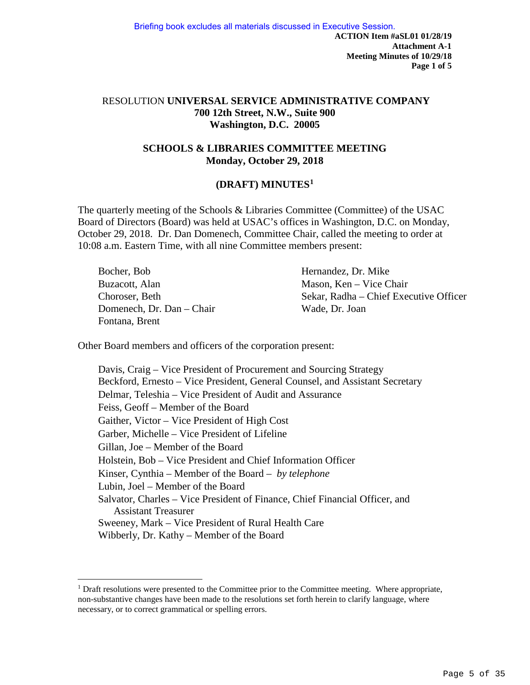#### RESOLUTION **UNIVERSAL SERVICE ADMINISTRATIVE COMPANY 700 12th Street, N.W., Suite 900 Washington, D.C. 20005**

#### **SCHOOLS & LIBRARIES COMMITTEE MEETING Monday, October 29, 2018**

#### **(DRAFT) MINUTES[1](#page-4-0)**

The quarterly meeting of the Schools & Libraries Committee (Committee) of the USAC Board of Directors (Board) was held at USAC's offices in Washington, D.C. on Monday, October 29, 2018. Dr. Dan Domenech, Committee Chair, called the meeting to order at 10:08 a.m. Eastern Time, with all nine Committee members present:

| Bocher, Bob               | Hernandez, Dr. Mike                    |
|---------------------------|----------------------------------------|
| Buzacott, Alan            | Mason, Ken – Vice Chair                |
| Choroser, Beth            | Sekar, Radha – Chief Executive Officer |
| Domenech, Dr. Dan - Chair | Wade, Dr. Joan                         |
| Fontana, Brent            |                                        |

Other Board members and officers of the corporation present:

 $\overline{a}$ 

Davis, Craig – Vice President of Procurement and Sourcing Strategy Beckford, Ernesto – Vice President, General Counsel, and Assistant Secretary Delmar, Teleshia – Vice President of Audit and Assurance Feiss, Geoff – Member of the Board Gaither, Victor – Vice President of High Cost Garber, Michelle – Vice President of Lifeline Gillan, Joe – Member of the Board Holstein, Bob – Vice President and Chief Information Officer Kinser, Cynthia – Member of the Board – *by telephone* Lubin, Joel – Member of the Board Salvator, Charles – Vice President of Finance, Chief Financial Officer, and Assistant Treasurer Sweeney, Mark – Vice President of Rural Health Care Wibberly, Dr. Kathy – Member of the Board

<span id="page-4-0"></span><sup>&</sup>lt;sup>1</sup> Draft resolutions were presented to the Committee prior to the Committee meeting. Where appropriate, non-substantive changes have been made to the resolutions set forth herein to clarify language, where necessary, or to correct grammatical or spelling errors.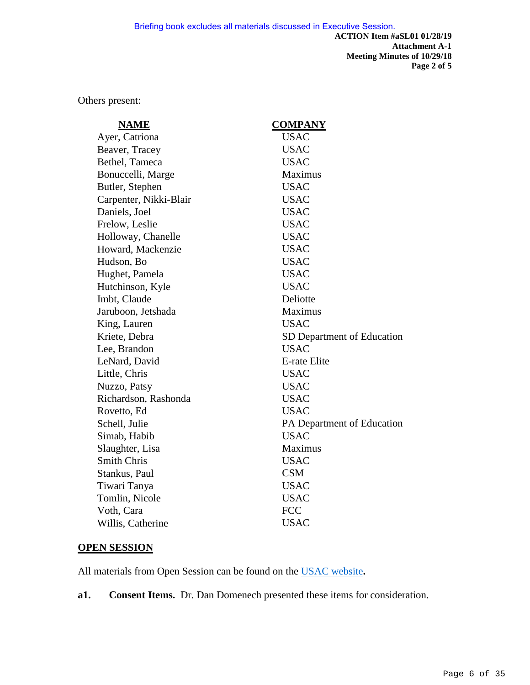Others present:

| <b>NAME</b>            | <b>COMPANY</b>             |
|------------------------|----------------------------|
| Ayer, Catriona         | <b>USAC</b>                |
| Beaver, Tracey         | <b>USAC</b>                |
| Bethel, Tameca         | <b>USAC</b>                |
| Bonuccelli, Marge      | Maximus                    |
| Butler, Stephen        | <b>USAC</b>                |
| Carpenter, Nikki-Blair | <b>USAC</b>                |
| Daniels, Joel          | <b>USAC</b>                |
| Frelow, Leslie         | <b>USAC</b>                |
| Holloway, Chanelle     | <b>USAC</b>                |
| Howard, Mackenzie      | <b>USAC</b>                |
| Hudson, Bo             | <b>USAC</b>                |
| Hughet, Pamela         | <b>USAC</b>                |
| Hutchinson, Kyle       | <b>USAC</b>                |
| Imbt, Claude           | Deliotte                   |
| Jaruboon, Jetshada     | Maximus                    |
| King, Lauren           | <b>USAC</b>                |
| Kriete, Debra          | SD Department of Education |
| Lee, Brandon           | <b>USAC</b>                |
| LeNard, David          | E-rate Elite               |
| Little, Chris          | <b>USAC</b>                |
| Nuzzo, Patsy           | <b>USAC</b>                |
| Richardson, Rashonda   | <b>USAC</b>                |
| Rovetto, Ed            | <b>USAC</b>                |
| Schell, Julie          | PA Department of Education |
| Simab, Habib           | <b>USAC</b>                |
| Slaughter, Lisa        | Maximus                    |
| <b>Smith Chris</b>     | <b>USAC</b>                |
| Stankus, Paul          | <b>CSM</b>                 |
| Tiwari Tanya           | <b>USAC</b>                |
| Tomlin, Nicole         | <b>USAC</b>                |
| Voth, Cara             | <b>FCC</b>                 |
| Willis, Catherine      | <b>USAC</b>                |

#### **OPEN SESSION**

All materials from Open Session can be found on the [USAC website](https://www.usac.org/about/about/leadership/materials/sl.aspx)**.** 

**a1. Consent Items.** Dr. Dan Domenech presented these items for consideration.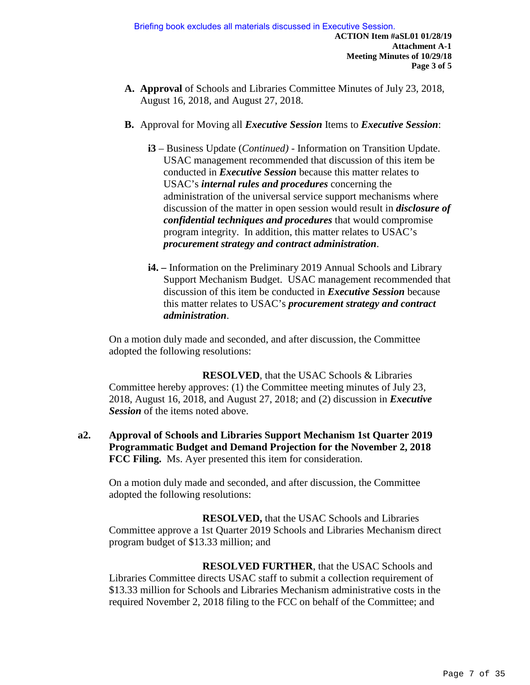- **A. Approval** of Schools and Libraries Committee Minutes of July 23, 2018, August 16, 2018, and August 27, 2018.
- **B.** Approval for Moving all *Executive Session* Items to *Executive Session*:
	- **i3**  Business Update (*Continued)* Information on Transition Update. USAC management recommended that discussion of this item be conducted in *Executive Session* because this matter relates to USAC's *internal rules and procedures* concerning the administration of the universal service support mechanisms where discussion of the matter in open session would result in *disclosure of confidential techniques and procedures* that would compromise program integrity. In addition, this matter relates to USAC's *procurement strategy and contract administration*.
	- **i4.** Information on the Preliminary 2019 Annual Schools and Library Support Mechanism Budget. USAC management recommended that discussion of this item be conducted in *Executive Session* because this matter relates to USAC's *procurement strategy and contract administration*.

On a motion duly made and seconded, and after discussion, the Committee adopted the following resolutions:

**RESOLVED**, that the USAC Schools & Libraries Committee hereby approves: (1) the Committee meeting minutes of July 23, 2018, August 16, 2018, and August 27, 2018; and (2) discussion in *Executive Session* of the items noted above.

**a2. Approval of Schools and Libraries Support Mechanism 1st Quarter 2019 Programmatic Budget and Demand Projection for the November 2, 2018 FCC Filing.** Ms. Ayer presented this item for consideration.

On a motion duly made and seconded, and after discussion, the Committee adopted the following resolutions:

**RESOLVED,** that the USAC Schools and Libraries Committee approve a 1st Quarter 2019 Schools and Libraries Mechanism direct program budget of \$13.33 million; and

**RESOLVED FURTHER**, that the USAC Schools and Libraries Committee directs USAC staff to submit a collection requirement of \$13.33 million for Schools and Libraries Mechanism administrative costs in the required November 2, 2018 filing to the FCC on behalf of the Committee; and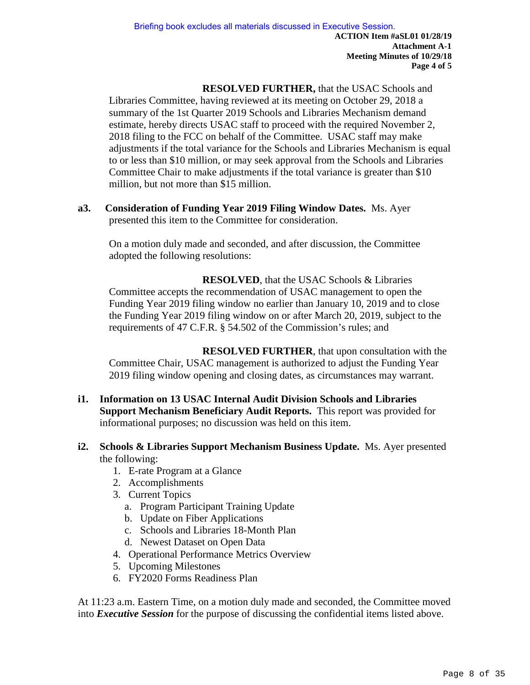**RESOLVED FURTHER,** that the USAC Schools and Libraries Committee, having reviewed at its meeting on October 29, 2018 a summary of the 1st Quarter 2019 Schools and Libraries Mechanism demand estimate, hereby directs USAC staff to proceed with the required November 2, 2018 filing to the FCC on behalf of the Committee. USAC staff may make adjustments if the total variance for the Schools and Libraries Mechanism is equal to or less than \$10 million, or may seek approval from the Schools and Libraries Committee Chair to make adjustments if the total variance is greater than \$10 million, but not more than \$15 million.

**a3. Consideration of Funding Year 2019 Filing Window Dates.** Ms. Ayer presented this item to the Committee for consideration.

On a motion duly made and seconded, and after discussion, the Committee adopted the following resolutions:

**RESOLVED**, that the USAC Schools & Libraries Committee accepts the recommendation of USAC management to open the Funding Year 2019 filing window no earlier than January 10, 2019 and to close the Funding Year 2019 filing window on or after March 20, 2019, subject to the requirements of 47 C.F.R. § 54.502 of the Commission's rules; and

**RESOLVED FURTHER**, that upon consultation with the Committee Chair, USAC management is authorized to adjust the Funding Year 2019 filing window opening and closing dates, as circumstances may warrant.

- **i1. Information on 13 USAC Internal Audit Division Schools and Libraries Support Mechanism Beneficiary Audit Reports.** This report was provided for informational purposes; no discussion was held on this item.
- **i2. Schools & Libraries Support Mechanism Business Update.** Ms. Ayer presented the following:
	- 1. E-rate Program at a Glance
	- 2. Accomplishments
	- 3. Current Topics
		- a. Program Participant Training Update
		- b. Update on Fiber Applications
		- c. Schools and Libraries 18-Month Plan
		- d. Newest Dataset on Open Data
	- 4. Operational Performance Metrics Overview
	- 5. Upcoming Milestones
	- 6. FY2020 Forms Readiness Plan

At 11:23 a.m. Eastern Time, on a motion duly made and seconded, the Committee moved into *Executive Session* for the purpose of discussing the confidential items listed above.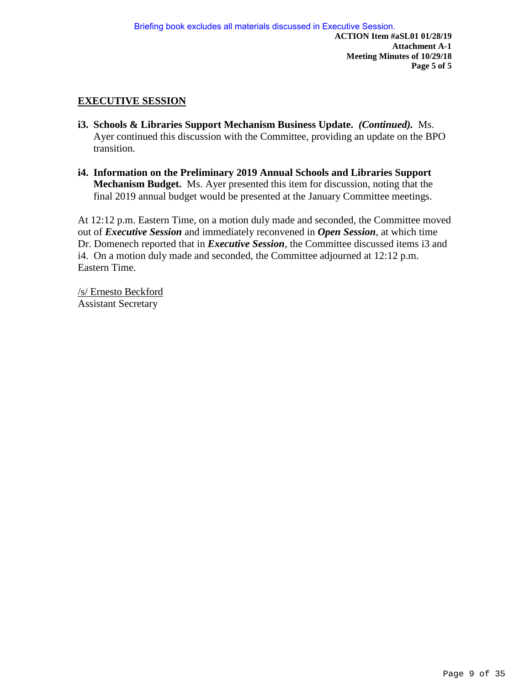#### **EXECUTIVE SESSION**

- **i3. Schools & Libraries Support Mechanism Business Update.** *(Continued).* Ms. Ayer continued this discussion with the Committee, providing an update on the BPO transition.
- **i4. Information on the Preliminary 2019 Annual Schools and Libraries Support Mechanism Budget.** Ms. Ayer presented this item for discussion, noting that the final 2019 annual budget would be presented at the January Committee meetings.

At 12:12 p.m. Eastern Time, on a motion duly made and seconded, the Committee moved out of *Executive Session* and immediately reconvened in *Open Session*, at which time Dr. Domenech reported that in *Executive Session*, the Committee discussed items i3 and i4. On a motion duly made and seconded, the Committee adjourned at 12:12 p.m. Eastern Time.

/s/ Ernesto Beckford Assistant Secretary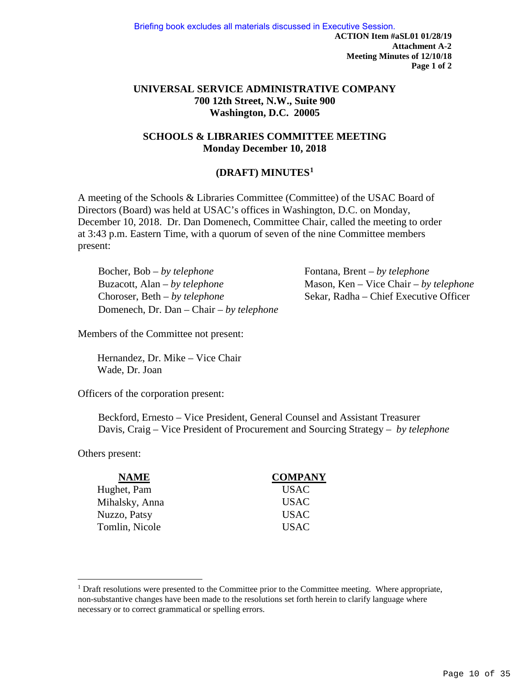**ACTION Item #aSL01 01/28/19 Attachment A-2 Meeting Minutes of 12/10/18 Page 1 of 2**  Briefing book excludes all materials discussed in Executive Session.

#### **UNIVERSAL SERVICE ADMINISTRATIVE COMPANY 700 12th Street, N.W., Suite 900 Washington, D.C. 20005**

#### **SCHOOLS & LIBRARIES COMMITTEE MEETING Monday December 10, 2018**

#### **(DRAFT) MINUTES[1](#page-9-0)**

A meeting of the Schools & Libraries Committee (Committee) of the USAC Board of Directors (Board) was held at USAC's offices in Washington, D.C. on Monday, December 10, 2018. Dr. Dan Domenech, Committee Chair, called the meeting to order at 3:43 p.m. Eastern Time, with a quorum of seven of the nine Committee members present:

Bocher, Bob – *by telephone* Fontana, Brent – *by telephone* Buzacott, Alan – *by telephone* Mason, Ken – Vice Chair – *by telephone* Choroser, Beth – *by telephone* Sekar, Radha – Chief Executive Officer Domenech, Dr. Dan – Chair – *by telephone* 

Members of the Committee not present:

Hernandez, Dr. Mike – Vice Chair Wade, Dr. Joan

Officers of the corporation present:

Beckford, Ernesto – Vice President, General Counsel and Assistant Treasurer Davis, Craig – Vice President of Procurement and Sourcing Strategy – *by telephone*

Others present:

 $\overline{a}$ 

| <b>NAME</b>    | <b>COMPANY</b> |
|----------------|----------------|
| Hughet, Pam    | <b>USAC</b>    |
| Mihalsky, Anna | <b>USAC</b>    |
| Nuzzo, Patsy   | <b>USAC</b>    |
| Tomlin, Nicole | <b>USAC</b>    |

<span id="page-9-0"></span><sup>&</sup>lt;sup>1</sup> Draft resolutions were presented to the Committee prior to the Committee meeting. Where appropriate, non-substantive changes have been made to the resolutions set forth herein to clarify language where necessary or to correct grammatical or spelling errors.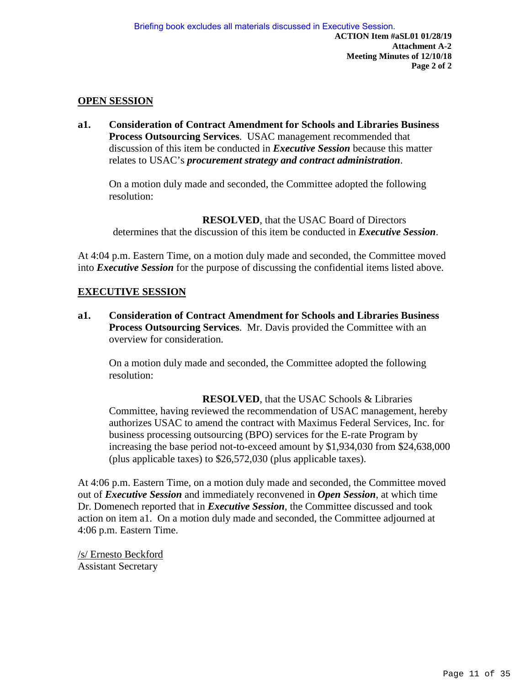#### **OPEN SESSION**

**a1. Consideration of Contract Amendment for Schools and Libraries Business Process Outsourcing Services**. USAC management recommended that discussion of this item be conducted in *Executive Session* because this matter relates to USAC's *procurement strategy and contract administration*.

On a motion duly made and seconded, the Committee adopted the following resolution:

**RESOLVED**, that the USAC Board of Directors determines that the discussion of this item be conducted in *Executive Session*.

At 4:04 p.m. Eastern Time, on a motion duly made and seconded, the Committee moved into *Executive Session* for the purpose of discussing the confidential items listed above.

#### **EXECUTIVE SESSION**

**a1. Consideration of Contract Amendment for Schools and Libraries Business Process Outsourcing Services**. Mr. Davis provided the Committee with an overview for consideration.

On a motion duly made and seconded, the Committee adopted the following resolution:

**RESOLVED**, that the USAC Schools & Libraries Committee, having reviewed the recommendation of USAC management, hereby authorizes USAC to amend the contract with Maximus Federal Services, Inc. for business processing outsourcing (BPO) services for the E-rate Program by increasing the base period not-to-exceed amount by \$1,934,030 from \$24,638,000 (plus applicable taxes) to \$26,572,030 (plus applicable taxes).

At 4:06 p.m. Eastern Time, on a motion duly made and seconded, the Committee moved out of *Executive Session* and immediately reconvened in *Open Session*, at which time Dr. Domenech reported that in *Executive Session*, the Committee discussed and took action on item a1. On a motion duly made and seconded, the Committee adjourned at 4:06 p.m. Eastern Time.

/s/ Ernesto Beckford Assistant Secretary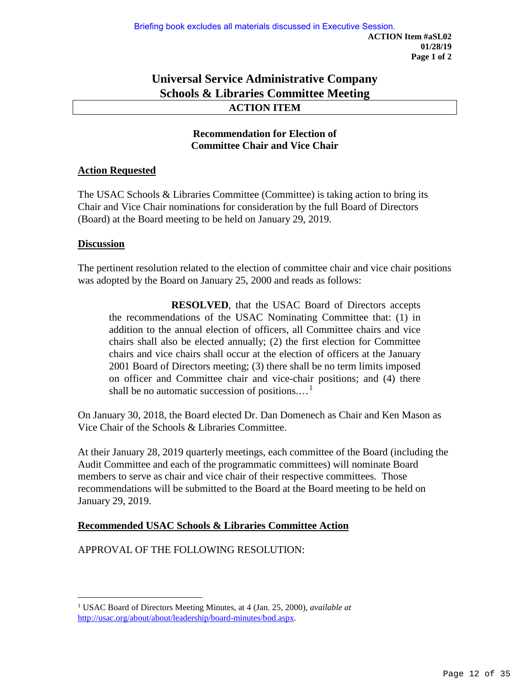#### **Universal Service Administrative Company Schools & Libraries Committee Meeting ACTION ITEM**

#### **Recommendation for Election of Committee Chair and Vice Chair**

#### **Action Requested**

The USAC Schools & Libraries Committee (Committee) is taking action to bring its Chair and Vice Chair nominations for consideration by the full Board of Directors (Board) at the Board meeting to be held on January 29, 2019.

#### **Discussion**

The pertinent resolution related to the election of committee chair and vice chair positions was adopted by the Board on January 25, 2000 and reads as follows:

**RESOLVED**, that the USAC Board of Directors accepts the recommendations of the USAC Nominating Committee that: (1) in addition to the annual election of officers, all Committee chairs and vice chairs shall also be elected annually; (2) the first election for Committee chairs and vice chairs shall occur at the election of officers at the January 2001 Board of Directors meeting; (3) there shall be no term limits imposed on officer and Committee chair and vice-chair positions; and (4) there shall be no automatic succession of positions....<sup>[1](#page-11-0)</sup>

On January 30, 2018, the Board elected Dr. Dan Domenech as Chair and Ken Mason as Vice Chair of the Schools & Libraries Committee.

At their January 28, 2019 quarterly meetings, each committee of the Board (including the Audit Committee and each of the programmatic committees) will nominate Board members to serve as chair and vice chair of their respective committees. Those recommendations will be submitted to the Board at the Board meeting to be held on January 29, 2019.

#### **Recommended USAC Schools & Libraries Committee Action**

APPROVAL OF THE FOLLOWING RESOLUTION:

<span id="page-11-0"></span> $\overline{a}$ <sup>1</sup> USAC Board of Directors Meeting Minutes, at 4 (Jan. 25, 2000), *available at* [http://usac.org/about/about/leadership/board-minutes/bod.aspx.](http://usac.org/about/about/leadership/board-minutes/bod.aspx)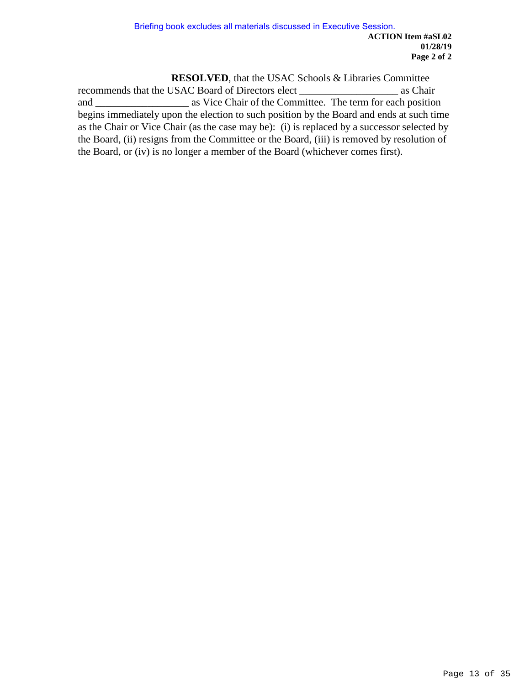**RESOLVED**, that the USAC Schools & Libraries Committee

recommends that the USAC Board of Directors elect \_\_\_\_\_\_\_\_\_\_\_\_\_\_\_\_\_\_\_ as Chair and \_\_\_\_\_\_\_\_\_\_\_\_\_\_\_\_\_\_ as Vice Chair of the Committee. The term for each position begins immediately upon the election to such position by the Board and ends at such time as the Chair or Vice Chair (as the case may be): (i) is replaced by a successor selected by the Board, (ii) resigns from the Committee or the Board, (iii) is removed by resolution of the Board, or (iv) is no longer a member of the Board (whichever comes first).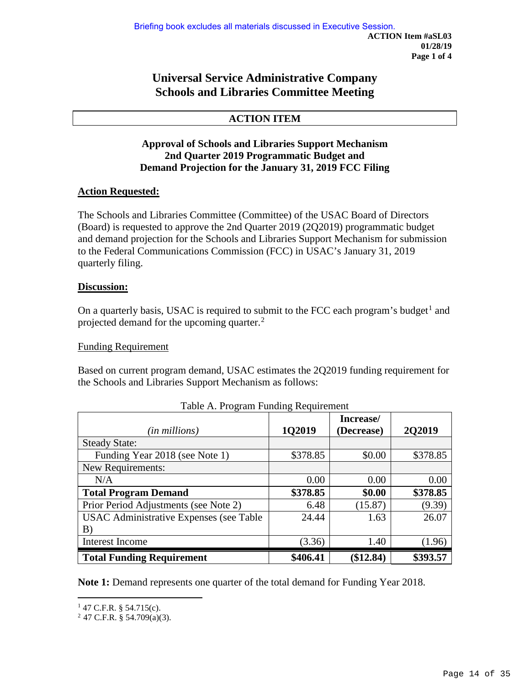#### **Universal Service Administrative Company Schools and Libraries Committee Meeting**

#### **ACTION ITEM**

#### **Approval of Schools and Libraries Support Mechanism 2nd Quarter 2019 Programmatic Budget and Demand Projection for the January 31, 2019 FCC Filing**

#### **Action Requested:**

The Schools and Libraries Committee (Committee) of the USAC Board of Directors (Board) is requested to approve the 2nd Quarter 2019 (2Q2019) programmatic budget and demand projection for the Schools and Libraries Support Mechanism for submission to the Federal Communications Commission (FCC) in USAC's January 31, 2019 quarterly filing.

#### **Discussion:**

On a quarterly basis, USAC is required to submit to the FCC each program's budget<sup>[1](#page-13-0)</sup> and projected demand for the upcoming quarter.<sup>[2](#page-13-1)</sup>

#### Funding Requirement

Based on current program demand, USAC estimates the 2Q2019 funding requirement for the Schools and Libraries Support Mechanism as follows:

|                                                |          | Increase/  |               |
|------------------------------------------------|----------|------------|---------------|
| (in millions)                                  | 1Q2019   | (Decrease) | <b>2Q2019</b> |
| <b>Steady State:</b>                           |          |            |               |
| Funding Year 2018 (see Note 1)                 | \$378.85 | \$0.00     | \$378.85      |
| New Requirements:                              |          |            |               |
| N/A                                            | 0.00     | 0.00       | 0.00          |
| <b>Total Program Demand</b>                    | \$378.85 | \$0.00     | \$378.85      |
| Prior Period Adjustments (see Note 2)          | 6.48     | (15.87)    | (9.39)        |
| <b>USAC Administrative Expenses (see Table</b> | 24.44    | 1.63       | 26.07         |
| B)                                             |          |            |               |
| Interest Income                                | (3.36)   | 1.40       | (1.96)        |
| <b>Total Funding Requirement</b>               | \$406.41 | \$12.84    | \$393.57      |

Table A. Program Funding Requirement

**Note 1:** Demand represents one quarter of the total demand for Funding Year 2018.

 $\overline{a}$  $147$  C.F.R. § 54.715(c).

<span id="page-13-1"></span><span id="page-13-0"></span> $2$  47 C.F.R. § 54.709(a)(3).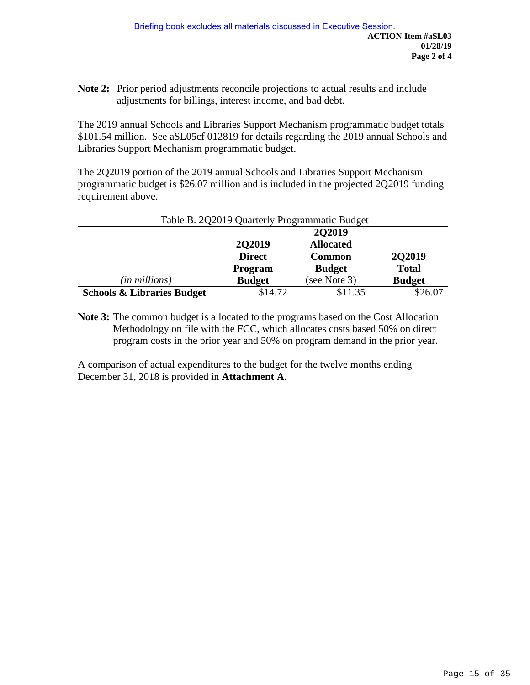**Note 2:** Prior period adjustments reconcile projections to actual results and include adjustments for billings, interest income, and bad debt.

The 2019 annual Schools and Libraries Support Mechanism programmatic budget totals \$101.54 million. See aSL05cf 012819 for details regarding the 2019 annual Schools and Libraries Support Mechanism programmatic budget.

The 2Q2019 portion of the 2019 annual Schools and Libraries Support Mechanism programmatic budget is \$26.07 million and is included in the projected 2Q2019 funding requirement above.

|                                       |               | 2Q2019           |               |
|---------------------------------------|---------------|------------------|---------------|
|                                       | <b>2Q2019</b> | <b>Allocated</b> |               |
|                                       | <b>Direct</b> | <b>Common</b>    | 2Q2019        |
|                                       | Program       | <b>Budget</b>    | <b>Total</b>  |
| (in millions)                         | <b>Budget</b> | (see Note 3)     | <b>Budget</b> |
| <b>Schools &amp; Libraries Budget</b> | \$14.72       | \$11.35          | \$26.07       |

#### Table B. 2Q2019 Quarterly Programmatic Budget

**Note 3:** The common budget is allocated to the programs based on the Cost Allocation Methodology on file with the FCC, which allocates costs based 50% on direct program costs in the prior year and 50% on program demand in the prior year.

A comparison of actual expenditures to the budget for the twelve months ending December 31, 2018 is provided in **Attachment A.**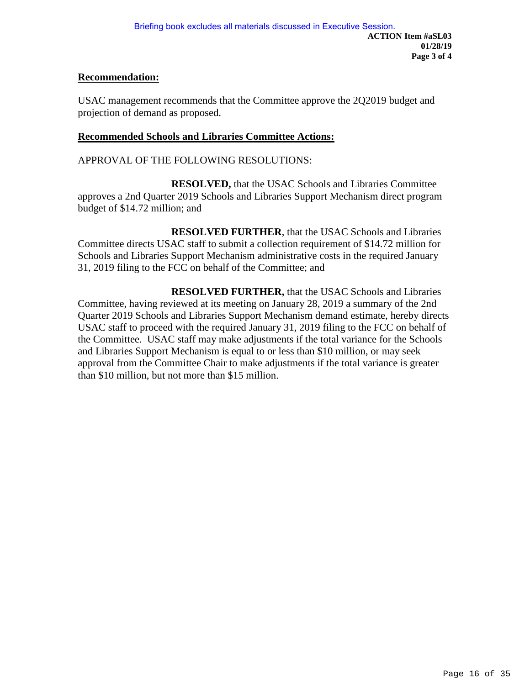#### **Recommendation:**

USAC management recommends that the Committee approve the 2Q2019 budget and projection of demand as proposed.

#### **Recommended Schools and Libraries Committee Actions:**

APPROVAL OF THE FOLLOWING RESOLUTIONS:

**RESOLVED,** that the USAC Schools and Libraries Committee approves a 2nd Quarter 2019 Schools and Libraries Support Mechanism direct program budget of \$14.72 million; and

 **RESOLVED FURTHER**, that the USAC Schools and Libraries Committee directs USAC staff to submit a collection requirement of \$14.72 million for Schools and Libraries Support Mechanism administrative costs in the required January 31, 2019 filing to the FCC on behalf of the Committee; and

**RESOLVED FURTHER,** that the USAC Schools and Libraries Committee, having reviewed at its meeting on January 28, 2019 a summary of the 2nd Quarter 2019 Schools and Libraries Support Mechanism demand estimate, hereby directs USAC staff to proceed with the required January 31, 2019 filing to the FCC on behalf of the Committee. USAC staff may make adjustments if the total variance for the Schools and Libraries Support Mechanism is equal to or less than \$10 million, or may seek approval from the Committee Chair to make adjustments if the total variance is greater than \$10 million, but not more than \$15 million.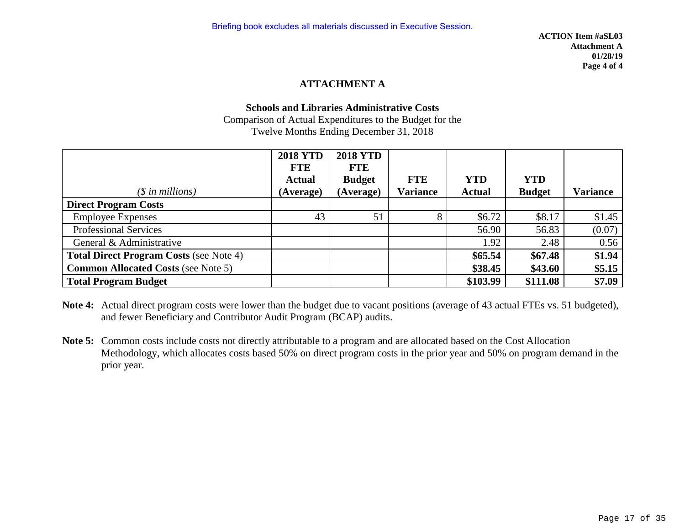#### **ATTACHMENT A**

#### **Schools and Libraries Administrative Costs**

Comparison of Actual Expenditures to the Budget for the Twelve Months Ending December 31, 2018

|                                                | <b>2018 YTD</b> | <b>2018 YTD</b> |                 |               |               |                 |
|------------------------------------------------|-----------------|-----------------|-----------------|---------------|---------------|-----------------|
|                                                | <b>FTE</b>      | <b>FTE</b>      |                 |               |               |                 |
|                                                | <b>Actual</b>   | <b>Budget</b>   | <b>FTE</b>      | <b>YTD</b>    | <b>YTD</b>    |                 |
| $(\$$ in millions)                             | (Average)       | (Average)       | <b>Variance</b> | <b>Actual</b> | <b>Budget</b> | <b>Variance</b> |
| <b>Direct Program Costs</b>                    |                 |                 |                 |               |               |                 |
| <b>Employee Expenses</b>                       | 43              | 51              | 8               | \$6.72        | \$8.17        | \$1.45          |
| <b>Professional Services</b>                   |                 |                 |                 | 56.90         | 56.83         | (0.07)          |
| General & Administrative                       |                 |                 |                 | 1.92          | 2.48          | 0.56            |
| <b>Total Direct Program Costs (see Note 4)</b> |                 |                 |                 | \$65.54       | \$67.48       | \$1.94          |
| <b>Common Allocated Costs (see Note 5)</b>     |                 |                 |                 | \$38.45       | \$43.60       | \$5.15          |
| <b>Total Program Budget</b>                    |                 |                 |                 | \$103.99      | \$111.08      | \$7.09          |

- **Note 4:** Actual direct program costs were lower than the budget due to vacant positions (average of 43 actual FTEs vs. 51 budgeted), and fewer Beneficiary and Contributor Audit Program (BCAP) audits.
- **Note 5:** Common costs include costs not directly attributable to a program and are allocated based on the Cost Allocation Methodology, which allocates costs based 50% on direct program costs in the prior year and 50% on program demand in the prior year.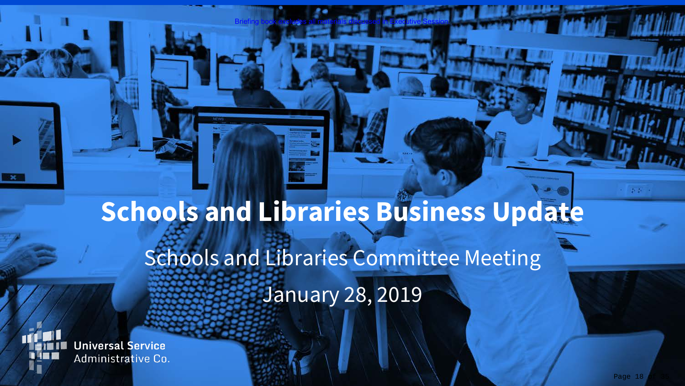# **Schools and Libraries Business Update** Schools and Libraries Committee Meeting January 28, 2019

Briefing book excludes all materials discussed in Executive Session.

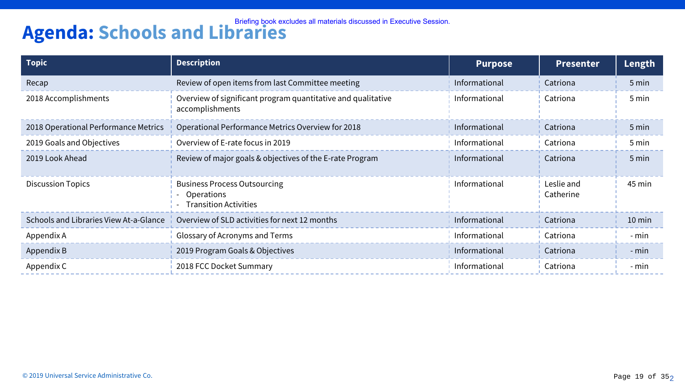# **Agenda: Schools and Libraries Agenda:** Schools and Transport of the Session.

| <b>Topic</b>                           | <b>Description</b>                                                                       | <b>Purpose</b> | <b>Presenter</b>        | Length   |
|----------------------------------------|------------------------------------------------------------------------------------------|----------------|-------------------------|----------|
| Recap                                  | Review of open items from last Committee meeting                                         | Informational  | Catriona                | 5 min    |
| 2018 Accomplishments                   | Overview of significant program quantitative and qualitative<br>accomplishments          | Informational  | Catriona                | 5 min    |
| 2018 Operational Performance Metrics   | Operational Performance Metrics Overview for 2018                                        | Informational  | Catriona                | 5 min    |
| 2019 Goals and Objectives              | Overview of E-rate focus in 2019                                                         | Informational  | Catriona                | 5 min    |
| 2019 Look Ahead                        | Review of major goals & objectives of the E-rate Program                                 | Informational  | Catriona                | 5 min    |
| <b>Discussion Topics</b>               | <b>Business Process Outsourcing</b><br><b>Operations</b><br><b>Transition Activities</b> | Informational  | Leslie and<br>Catherine | 45 min   |
| Schools and Libraries View At-a-Glance | Overview of SLD activities for next 12 months                                            | Informational  | Catriona                | $10$ min |
| Appendix A                             | Glossary of Acronyms and Terms                                                           | Informational  | Catriona                | - min    |
| Appendix B                             | 2019 Program Goals & Objectives                                                          | Informational  | Catriona                | - min    |
| Appendix C                             | 2018 FCC Docket Summary                                                                  | Informational  | Catriona                | - min    |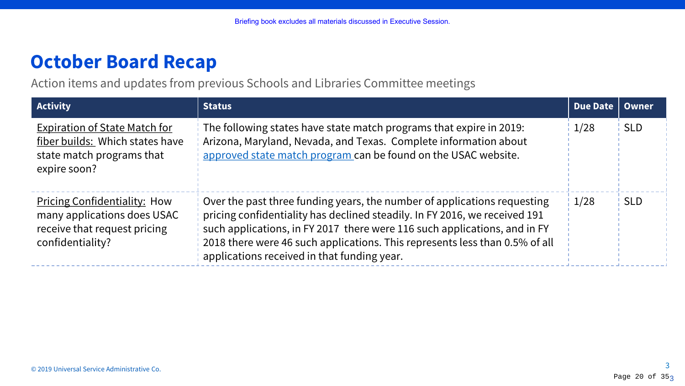# **October Board Recap**

Action items and updates from previous Schools and Libraries Committee meetings

| <b>Activity</b>                                                                                                        | <b>Status</b>                                                                                                                                                                                                                                                                                                                                                     | Due Date | Owner      |
|------------------------------------------------------------------------------------------------------------------------|-------------------------------------------------------------------------------------------------------------------------------------------------------------------------------------------------------------------------------------------------------------------------------------------------------------------------------------------------------------------|----------|------------|
| <b>Expiration of State Match for</b><br>fiber builds: Which states have<br>state match programs that<br>expire soon?   | The following states have state match programs that expire in 2019:<br>Arizona, Maryland, Nevada, and Texas. Complete information about<br>approved state match program can be found on the USAC website.                                                                                                                                                         | 1/28     | <b>SLD</b> |
| <b>Pricing Confidentiality: How</b><br>many applications does USAC<br>receive that request pricing<br>confidentiality? | Over the past three funding years, the number of applications requesting<br>pricing confidentiality has declined steadily. In FY 2016, we received 191<br>such applications, in FY 2017 there were 116 such applications, and in FY<br>2018 there were 46 such applications. This represents less than 0.5% of all<br>applications received in that funding year. | 1/28     | <b>SLD</b> |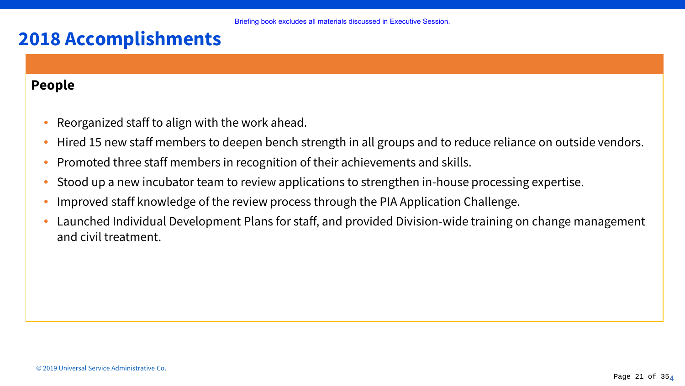### **People**

- Reorganized staff to align with the work ahead.
- Hired 15 new staff members to deepen bench strength in all groups and to reduce reliance on outside vendors.
- Promoted three staff members in recognition of their achievements and skills.
- Stood up a new incubator team to review applications to strengthen in-house processing expertise.
- Improved staff knowledge of the review process through the PIA Application Challenge.
- Launched Individual Development Plans for staff, and provided Division-wide training on change management and civil treatment.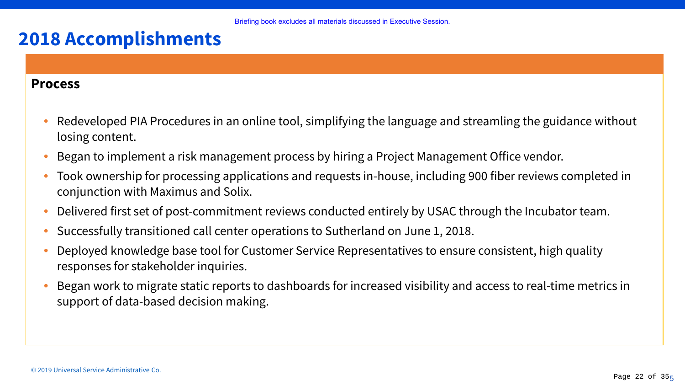### **Process**

- Redeveloped PIA Procedures in an online tool, simplifying the language and streamling the guidance without losing content.
- Began to implement a risk management process by hiring a Project Management Office vendor.
- Took ownership for processing applications and requests in-house, including 900 fiber reviews completed in conjunction with Maximus and Solix.
- Delivered first set of post-commitment reviews conducted entirely by USAC through the Incubator team.
- Successfully transitioned call center operations to Sutherland on June 1, 2018.
- Deployed knowledge base tool for Customer Service Representatives to ensure consistent, high quality responses for stakeholder inquiries.
- Began work to migrate static reports to dashboards for increased visibility and access to real-time metrics in support of data-based decision making.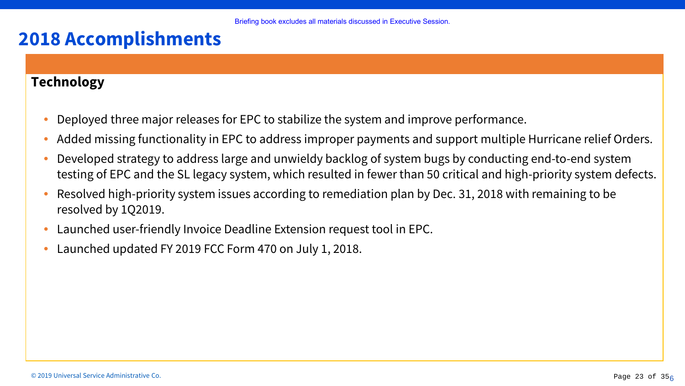### **Technology**

- Deployed three major releases for EPC to stabilize the system and improve performance.
- Added missing functionality in EPC to address improper payments and support multiple Hurricane relief Orders.
- Developed strategy to address large and unwieldy backlog of system bugs by conducting end-to-end system testing of EPC and the SL legacy system, which resulted in fewer than 50 critical and high-priority system defects.
- Resolved high-priority system issues according to remediation plan by Dec. 31, 2018 with remaining to be resolved by 1Q2019.
- Launched user-friendly Invoice Deadline Extension request tool in EPC.
- Launched updated FY 2019 FCC Form 470 on July 1, 2018.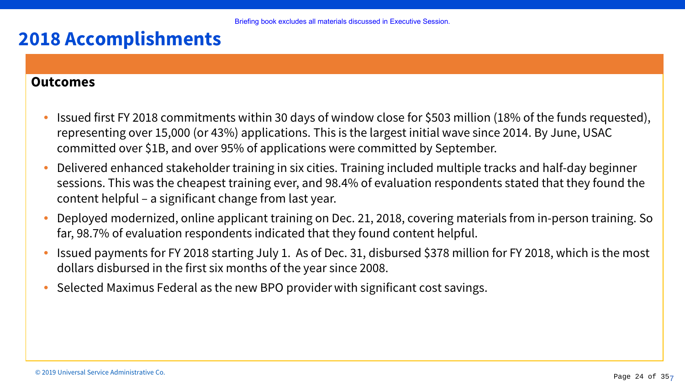### **Outcomes**

- Issued first FY 2018 commitments within 30 days of window close for \$503 million (18% of the funds requested), representing over 15,000 (or 43%) applications. This is the largest initial wave since 2014. By June, USAC committed over \$1B, and over 95% of applications were committed by September.
- Delivered enhanced stakeholder training in six cities. Training included multiple tracks and half-day beginner sessions. This was the cheapest training ever, and 98.4% of evaluation respondents stated that they found the content helpful – a significant change from last year.
- Deployed modernized, online applicant training on Dec. 21, 2018, covering materials from in-person training. So far, 98.7% of evaluation respondents indicated that they found content helpful.
- Issued payments for FY 2018 starting July 1. As of Dec. 31, disbursed \$378 million for FY 2018, which is the most dollars disbursed in the first six months of the year since 2008.
- Selected Maximus Federal as the new BPO provider with significant cost savings.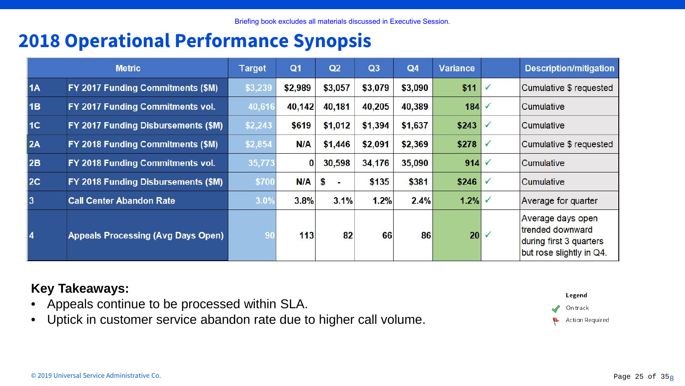## **2018 Operational Performance Synopsis**

|           | <b>Metric</b>                             | <b>Target</b>  | Q <sub>1</sub> | Q2      | Q3      | Q <sub>4</sub> | <b>Variance</b> | <b>Description/mitigation</b>                                                                |
|-----------|-------------------------------------------|----------------|----------------|---------|---------|----------------|-----------------|----------------------------------------------------------------------------------------------|
| <b>1A</b> | FY 2017 Funding Commitments (\$M)         | \$3,239        | \$2,989        | \$3,057 | \$3,079 | \$3,090        | \$11            | Cumulative \$ requested                                                                      |
| 1B        | FY 2017 Funding Commitments vol.          | 40,616         | 40,142         | 40,181  | 40,205  | 40,389         | 184             | <b>Cumulative</b>                                                                            |
| 1C        | FY 2017 Funding Disbursements (\$M)       | \$2,243        | \$619          | \$1,012 | \$1,394 | \$1,637        | \$243           | Cumulative                                                                                   |
| 2A        | FY 2018 Funding Commitments (\$M)         | \$2,854        | <b>N/A</b>     | \$1,446 | \$2,091 | \$2,369        | \$278           | Cumulative \$ requested                                                                      |
| 2B        | FY 2018 Funding Commitments vol.          | 35,773         | $\bf{0}$       | 30,598  | 34,176  | 35,090         | 914             | <b>Cumulative</b>                                                                            |
| 2C        | FY 2018 Funding Disbursements (\$M)       | \$700          | N/A            | S<br>œ. | \$135   | \$381          | \$246           | <b>Cumulative</b>                                                                            |
| l3        | <b>Call Center Abandon Rate</b>           | 3.0%           | 3.8%           | 3.1%    | 1.2%    | 2.4%           | 1.2%            | Average for quarter                                                                          |
| 14        | <b>Appeals Processing (Avg Days Open)</b> | 9 <sub>0</sub> | 113            | 82      | 66      | 86             | 20              | Average days open<br>trended downward<br>during first 3 quarters<br>but rose slightly in Q4. |

### **Key Takeaways:**

- Appeals continue to be processed within SLA.
- Uptick in customer service abandon rate due to higher call volume.

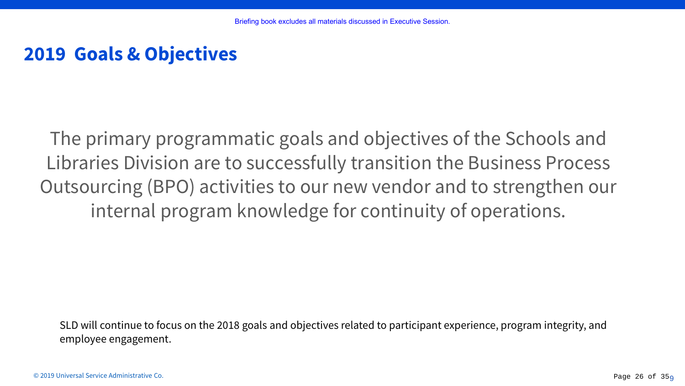## **2019 Goals & Objectives**

The primary programmatic goals and objectives of the Schools and Libraries Division are to successfully transition the Business Process Outsourcing (BPO) activities to our new vendor and to strengthen our internal program knowledge for continuity of operations.

SLD will continue to focus on the 2018 goals and objectives related to participant experience, program integrity, and employee engagement.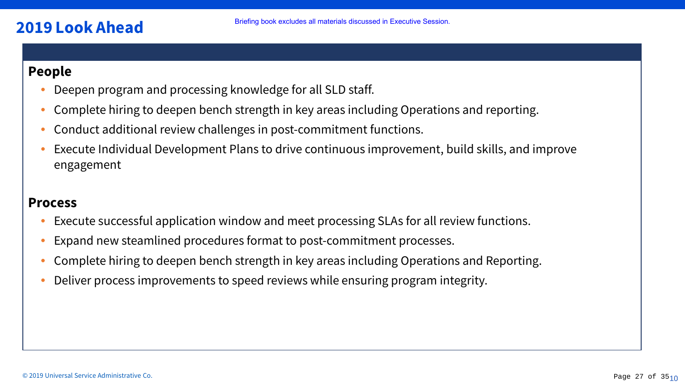### **2019 Look Ahead**

### **People**

- Deepen program and processing knowledge for all SLD staff.
- Complete hiring to deepen bench strength in key areas including Operations and reporting.
- Conduct additional review challenges in post-commitment functions.
- Execute Individual Development Plans to drive continuous improvement, build skills, and improve engagement

### **Process**

- Execute successful application window and meet processing SLAs for all review functions.
- Expand new steamlined procedures format to post-commitment processes.
- Complete hiring to deepen bench strength in key areas including Operations and Reporting.
- Deliver process improvements to speed reviews while ensuring program integrity.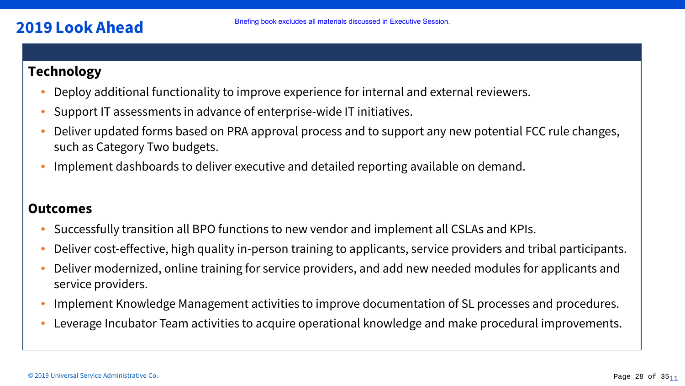### **2019 Look Ahead**

### **Technology**

- Deploy additional functionality to improve experience for internal and external reviewers.
- Support IT assessments in advance of enterprise-wide IT initiatives.
- Deliver updated forms based on PRA approval process and to support any new potential FCC rule changes, such as Category Two budgets.
- Implement dashboards to deliver executive and detailed reporting available on demand.

### **Outcomes**

- Successfully transition all BPO functions to new vendor and implement all CSLAs and KPIs.
- Deliver cost-effective, high quality in-person training to applicants, service providers and tribal participants.
- Deliver modernized, online training for service providers, and add new needed modules for applicants and service providers.
- Implement Knowledge Management activities to improve documentation of SL processes and procedures.
- Leverage Incubator Team activities to acquire operational knowledge and make procedural improvements.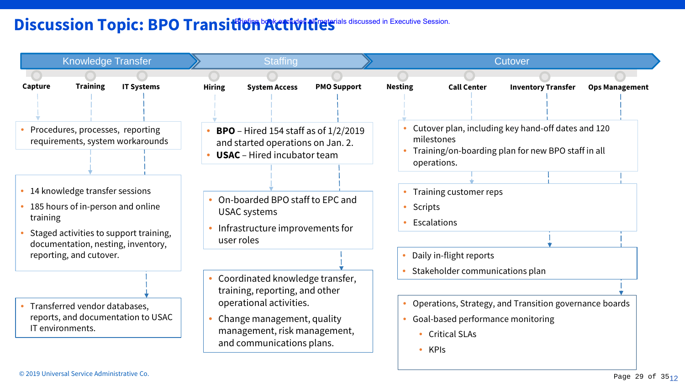### Discussion Topic: BPO Transition Activities discussed in Executive Session.

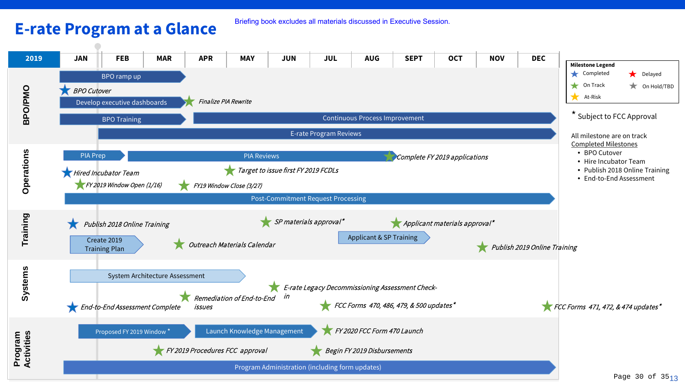### **E-rate Program at a Glance**

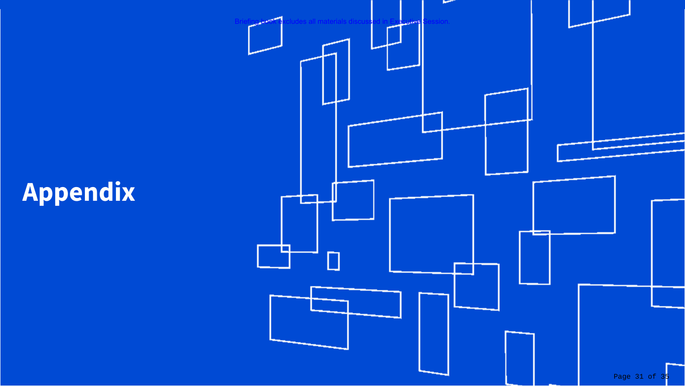# **Appendix**

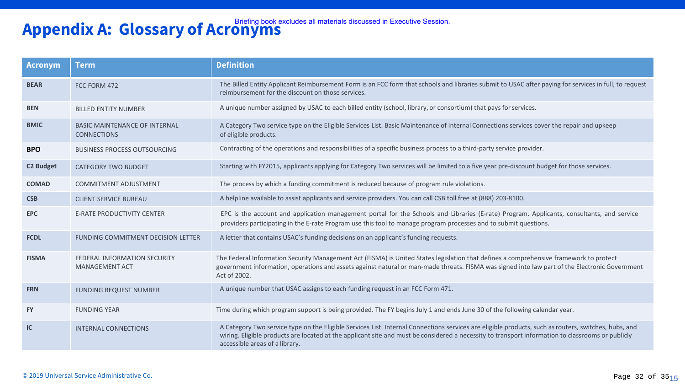# **Appendix A: Glossary of Acronyms** Briefing book excludes all materials discussed in Executive Session.

| <b>Acronym</b>   | <b>Term</b>                                                  | <b>Definition</b>                                                                                                                                                                                                                                                                                                                           |  |
|------------------|--------------------------------------------------------------|---------------------------------------------------------------------------------------------------------------------------------------------------------------------------------------------------------------------------------------------------------------------------------------------------------------------------------------------|--|
| <b>BEAR</b>      | FCC FORM 472                                                 | The Billed Entity Applicant Reimbursement Form is an FCC form that schools and libraries submit to USAC after paying for services in full, to request<br>reimbursement for the discount on those services.                                                                                                                                  |  |
| <b>BEN</b>       | <b>BILLED ENTITY NUMBER</b>                                  | A unique number assigned by USAC to each billed entity (school, library, or consortium) that pays for services.                                                                                                                                                                                                                             |  |
| <b>BMIC</b>      | <b>BASIC MAINTENANCE OF INTERNAL</b><br><b>CONNECTIONS</b>   | A Category Two service type on the Eligible Services List. Basic Maintenance of Internal Connections services cover the repair and upkeep<br>of eligible products.                                                                                                                                                                          |  |
| <b>BPO</b>       | <b>BUSINESS PROCESS OUTSOURCING</b>                          | Contracting of the operations and responsibilities of a specific business process to a third-party service provider.                                                                                                                                                                                                                        |  |
| <b>C2 Budget</b> | <b>CATEGORY TWO BUDGET</b>                                   | Starting with FY2015, applicants applying for Category Two services will be limited to a five year pre-discount budget for those services.                                                                                                                                                                                                  |  |
| <b>COMAD</b>     | <b>COMMITMENT ADJUSTMENT</b>                                 | The process by which a funding commitment is reduced because of program rule violations.                                                                                                                                                                                                                                                    |  |
| <b>CSB</b>       | <b>CLIENT SERVICE BUREAU</b>                                 | A helpline available to assist applicants and service providers. You can call CSB toll free at (888) 203-8100.                                                                                                                                                                                                                              |  |
| <b>EPC</b>       | <b>E-RATE PRODUCTIVITY CENTER</b>                            | EPC is the account and application management portal for the Schools and Libraries (E-rate) Program. Applicants, consultants, and service<br>providers participating in the E-rate Program use this tool to manage program processes and to submit questions.                                                                               |  |
| <b>FCDL</b>      | FUNDING COMMITMENT DECISION LETTER                           | A letter that contains USAC's funding decisions on an applicant's funding requests.                                                                                                                                                                                                                                                         |  |
| <b>FISMA</b>     | <b>FEDERAL INFORMATION SECURITY</b><br><b>MANAGEMENT ACT</b> | The Federal Information Security Management Act (FISMA) is United States legislation that defines a comprehensive framework to protect<br>government information, operations and assets against natural or man-made threats. FISMA was signed into law part of the Electronic Government<br>Act of 2002.                                    |  |
| <b>FRN</b>       | <b>FUNDING REQUEST NUMBER</b>                                | A unique number that USAC assigns to each funding request in an FCC Form 471.                                                                                                                                                                                                                                                               |  |
| <b>FY</b>        | <b>FUNDING YEAR</b>                                          | Time during which program support is being provided. The FY begins July 1 and ends June 30 of the following calendar year.                                                                                                                                                                                                                  |  |
| IC               | <b>INTERNAL CONNECTIONS</b>                                  | A Category Two service type on the Eligible Services List. Internal Connections services are eligible products, such as routers, switches, hubs, and<br>wiring. Eligible products are located at the applicant site and must be considered a necessity to transport information to classrooms or publicly<br>accessible areas of a library. |  |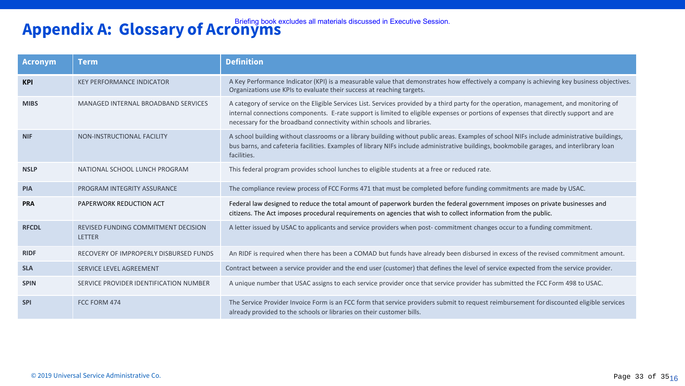# **Appendix A: Glossary of Acronyms** Briefing book excludes all materials discussed in Executive Session.

| <b>Acronym</b> | <b>Term</b>                                                 | <b>Definition</b>                                                                                                                                                                                                                                                                                                                                           |
|----------------|-------------------------------------------------------------|-------------------------------------------------------------------------------------------------------------------------------------------------------------------------------------------------------------------------------------------------------------------------------------------------------------------------------------------------------------|
| <b>KPI</b>     | <b>KEY PERFORMANCE INDICATOR</b>                            | A Key Performance Indicator (KPI) is a measurable value that demonstrates how effectively a company is achieving key business objectives.<br>Organizations use KPIs to evaluate their success at reaching targets.                                                                                                                                          |
| <b>MIBS</b>    | MANAGED INTERNAL BROADBAND SERVICES                         | A category of service on the Eligible Services List. Services provided by a third party for the operation, management, and monitoring of<br>internal connections components. E-rate support is limited to eligible expenses or portions of expenses that directly support and are<br>necessary for the broadband connectivity within schools and libraries. |
| <b>NIF</b>     | NON-INSTRUCTIONAL FACILITY                                  | A school building without classrooms or a library building without public areas. Examples of school NIFs include administrative buildings,<br>bus barns, and cafeteria facilities. Examples of library NIFs include administrative buildings, bookmobile garages, and interlibrary loan<br>facilities.                                                      |
| <b>NSLP</b>    | NATIONAL SCHOOL LUNCH PROGRAM                               | This federal program provides school lunches to eligible students at a free or reduced rate.                                                                                                                                                                                                                                                                |
| <b>PIA</b>     | PROGRAM INTEGRITY ASSURANCE                                 | The compliance review process of FCC Forms 471 that must be completed before funding commitments are made by USAC.                                                                                                                                                                                                                                          |
| <b>PRA</b>     | PAPERWORK REDUCTION ACT                                     | Federal law designed to reduce the total amount of paperwork burden the federal government imposes on private businesses and<br>citizens. The Act imposes procedural requirements on agencies that wish to collect information from the public.                                                                                                             |
| <b>RFCDL</b>   | <b>REVISED FUNDING COMMITMENT DECISION</b><br><b>LETTER</b> | A letter issued by USAC to applicants and service providers when post-commitment changes occur to a funding commitment.                                                                                                                                                                                                                                     |
| <b>RIDF</b>    | RECOVERY OF IMPROPERLY DISBURSED FUNDS                      | An RIDF is required when there has been a COMAD but funds have already been disbursed in excess of the revised commitment amount.                                                                                                                                                                                                                           |
| <b>SLA</b>     | <b>SERVICE LEVEL AGREEMENT</b>                              | Contract between a service provider and the end user (customer) that defines the level of service expected from the service provider.                                                                                                                                                                                                                       |
| <b>SPIN</b>    | SERVICE PROVIDER IDENTIFICATION NUMBER                      | A unique number that USAC assigns to each service provider once that service provider has submitted the FCC Form 498 to USAC.                                                                                                                                                                                                                               |
| <b>SPI</b>     | FCC FORM 474                                                | The Service Provider Invoice Form is an FCC form that service providers submit to request reimbursement for discounted eligible services<br>already provided to the schools or libraries on their customer bills.                                                                                                                                           |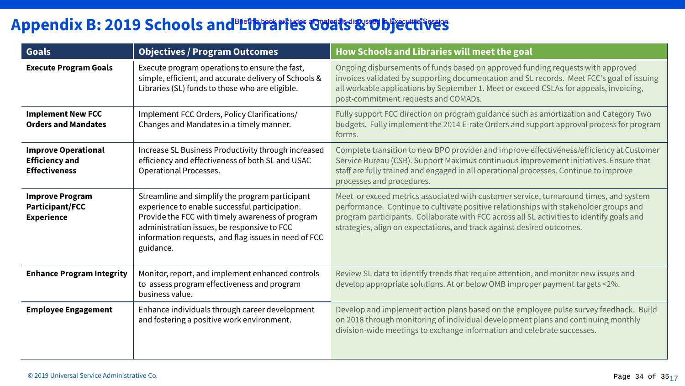### Appendix B: 2019 Schools and Libraries Goals & Objectives

| Goals                                                                       | <b>Objectives / Program Outcomes</b>                                                                                                                                                                                                                                      | How Schools and Libraries will meet the goal                                                                                                                                                                                                                                                                                                          |
|-----------------------------------------------------------------------------|---------------------------------------------------------------------------------------------------------------------------------------------------------------------------------------------------------------------------------------------------------------------------|-------------------------------------------------------------------------------------------------------------------------------------------------------------------------------------------------------------------------------------------------------------------------------------------------------------------------------------------------------|
| <b>Execute Program Goals</b>                                                | Execute program operations to ensure the fast,<br>simple, efficient, and accurate delivery of Schools &<br>Libraries (SL) funds to those who are eligible.                                                                                                                | Ongoing disbursements of funds based on approved funding requests with approved<br>invoices validated by supporting documentation and SL records. Meet FCC's goal of issuing<br>all workable applications by September 1. Meet or exceed CSLAs for appeals, invoicing,<br>post-commitment requests and COMADs.                                        |
| <b>Implement New FCC</b><br><b>Orders and Mandates</b>                      | Implement FCC Orders, Policy Clarifications/<br>Changes and Mandates in a timely manner.                                                                                                                                                                                  | Fully support FCC direction on program guidance such as amortization and Category Two<br>budgets. Fully implement the 2014 E-rate Orders and support approval process for program<br>forms.                                                                                                                                                           |
| <b>Improve Operational</b><br><b>Efficiency and</b><br><b>Effectiveness</b> | Increase SL Business Productivity through increased<br>efficiency and effectiveness of both SL and USAC<br><b>Operational Processes.</b>                                                                                                                                  | Complete transition to new BPO provider and improve effectiveness/efficiency at Customer<br>Service Bureau (CSB). Support Maximus continuous improvement initiatives. Ensure that<br>staff are fully trained and engaged in all operational processes. Continue to improve<br>processes and procedures.                                               |
| <b>Improve Program</b><br>Participant/FCC<br><b>Experience</b>              | Streamline and simplify the program participant<br>experience to enable successful participation.<br>Provide the FCC with timely awareness of program<br>administration issues, be responsive to FCC<br>information requests, and flag issues in need of FCC<br>guidance. | Meet or exceed metrics associated with customer service, turnaround times, and system<br>performance. Continue to cultivate positive relationships with stakeholder groups and<br>program participants. Collaborate with FCC across all SL activities to identify goals and<br>strategies, align on expectations, and track against desired outcomes. |
| <b>Enhance Program Integrity</b>                                            | Monitor, report, and implement enhanced controls<br>to assess program effectiveness and program<br>business value.                                                                                                                                                        | Review SL data to identify trends that require attention, and monitor new issues and<br>develop appropriate solutions. At or below OMB improper payment targets <2%.                                                                                                                                                                                  |
| <b>Employee Engagement</b>                                                  | Enhance individuals through career development<br>and fostering a positive work environment.                                                                                                                                                                              | Develop and implement action plans based on the employee pulse survey feedback. Build<br>on 2018 through monitoring of individual development plans and continuing monthly<br>division-wide meetings to exchange information and celebrate successes.                                                                                                 |